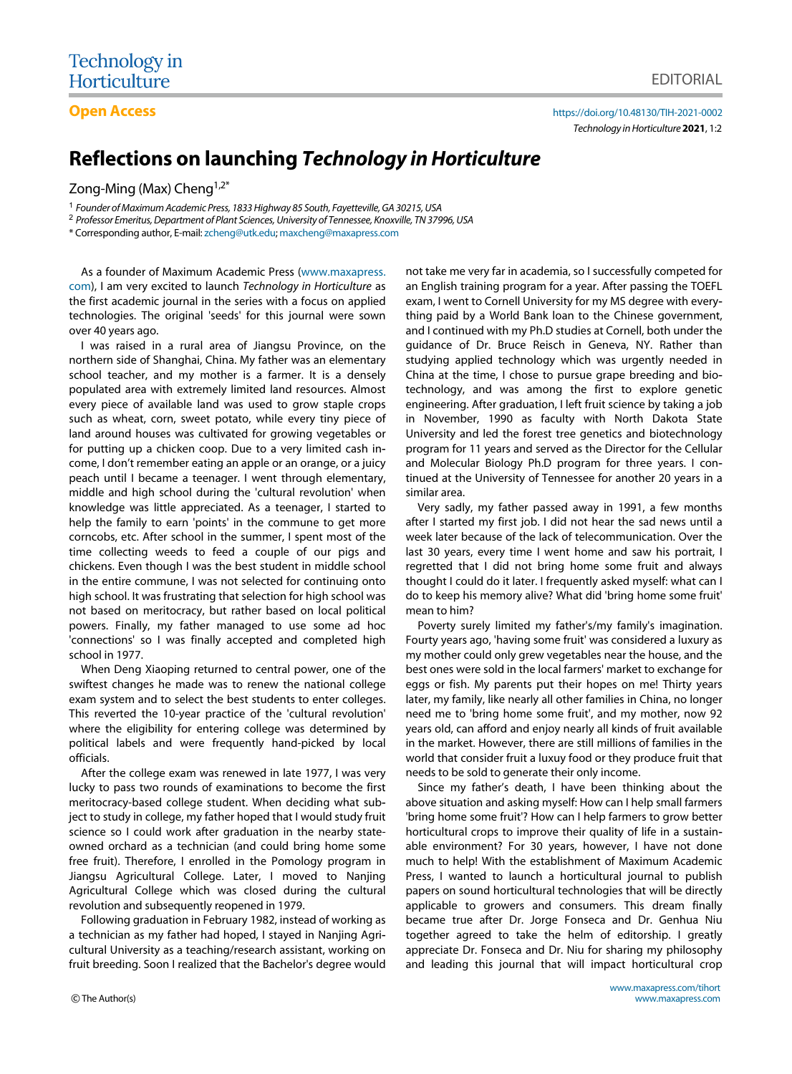**Open Access <https://doi.org/10.48130/TIH-2021-0002>** *Technology in Horticulture***2021**, 1:2

# **Reflections on launching** *Technology in Horticulture*

Zong-Ming (Max) Cheng<sup>1,2\*</sup>

1 *Founder of Maximum Academic Press, 1833 Highway 85 South, Fayetteville, GA 30215, USA*

<sup>2</sup> *Professor Emeritus, Department of Plant Sciences, University of Tennessee, Knoxville, TN 37996, USA*

\* Corresponding author, E-mail: [zcheng@utk.edu](mailto:zcheng@utk.edu); [maxcheng@maxapress.com](mailto:maxcheng@maxapress.com)

As a founder of Maximum Academic Press ([www.maxapress.](http://www.maxapress.com/) [com](http://www.maxapress.com/)), I am very excited to launch *Technology in Horticulture* as the first academic journal in the series with a focus on applied technologies. The original 'seeds' for this journal were sown over 40 years ago.

I was raised in a rural area of Jiangsu Province, on the northern side of Shanghai, China. My father was an elementary school teacher, and my mother is a farmer. It is a densely populated area with extremely limited land resources. Almost every piece of available land was used to grow staple crops such as wheat, corn, sweet potato, while every tiny piece of land around houses was cultivated for growing vegetables or for putting up a chicken coop. Due to a very limited cash income, I don't remember eating an apple or an orange, or a juicy peach until I became a teenager. I went through elementary, middle and high school during the 'cultural revolution' when knowledge was little appreciated. As a teenager, I started to help the family to earn 'points' in the commune to get more corncobs, etc. After school in the summer, I spent most of the time collecting weeds to feed a couple of our pigs and chickens. Even though I was the best student in middle school in the entire commune, I was not selected for continuing onto high school. It was frustrating that selection for high school was not based on meritocracy, but rather based on local political powers. Finally, my father managed to use some ad hoc 'connections' so I was finally accepted and completed high school in 1977.

When Deng Xiaoping returned to central power, one of the swiftest changes he made was to renew the national college exam system and to select the best students to enter colleges. This reverted the 10-year practice of the 'cultural revolution' where the eligibility for entering college was determined by political labels and were frequently hand-picked by local officials.

After the college exam was renewed in late 1977, I was very lucky to pass two rounds of examinations to become the first meritocracy-based college student. When deciding what subject to study in college, my father hoped that I would study fruit science so I could work after graduation in the nearby stateowned orchard as a technician (and could bring home some free fruit). Therefore, I enrolled in the Pomology program in Jiangsu Agricultural College. Later, I moved to Nanjing Agricultural College which was closed during the cultural revolution and subsequently reopened in 1979.

Following graduation in February 1982, instead of working as a technician as my father had hoped, I stayed in Nanjing Agricultural University as a teaching/research assistant, working on fruit breeding. Soon I realized that the Bachelor's degree would

not take me very far in academia, so I successfully competed for an English training program for a year. After passing the TOEFL exam, I went to Cornell University for my MS degree with everything paid by a World Bank loan to the Chinese government, and I continued with my Ph.D studies at Cornell, both under the guidance of Dr. Bruce Reisch in Geneva, NY. Rather than studying applied technology which was urgently needed in China at the time, I chose to pursue grape breeding and biotechnology, and was among the first to explore genetic engineering. After graduation, I left fruit science by taking a job in November, 1990 as faculty with North Dakota State University and led the forest tree genetics and biotechnology program for 11 years and served as the Director for the Cellular and Molecular Biology Ph.D program for three years. I continued at the University of Tennessee for another 20 years in a similar area.

Very sadly, my father passed away in 1991, a few months after I started my first job. I did not hear the sad news until a week later because of the lack of telecommunication. Over the last 30 years, every time I went home and saw his portrait, I regretted that I did not bring home some fruit and always thought I could do it later. I frequently asked myself: what can I do to keep his memory alive? What did 'bring home some fruit' mean to him?

Poverty surely limited my father's/my family's imagination. Fourty years ago, 'having some fruit' was considered a luxury as my mother could only grew vegetables near the house, and the best ones were sold in the local farmers' market to exchange for eggs or fish. My parents put their hopes on me! Thirty years later, my family, like nearly all other families in China, no longer need me to 'bring home some fruit', and my mother, now 92 years old, can afford and enjoy nearly all kinds of fruit available in the market. However, there are still millions of families in the world that consider fruit a luxuy food or they produce fruit that needs to be sold to generate their only income.

Since my father's death, I have been thinking about the above situation and asking myself: How can I help small farmers 'bring home some fruit'? How can I help farmers to grow better horticultural crops to improve their quality of life in a sustainable environment? For 30 years, however, I have not done much to help! With the establishment of Maximum Academic Press, I wanted to launch a horticultural journal to publish papers on sound horticultural technologies that will be directly applicable to growers and consumers. This dream finally became true after Dr. Jorge Fonseca and Dr. Genhua Niu together agreed to take the helm of editorship. I greatly appreciate Dr. Fonseca and Dr. Niu for sharing my philosophy and leading this journal that will impact horticultural crop